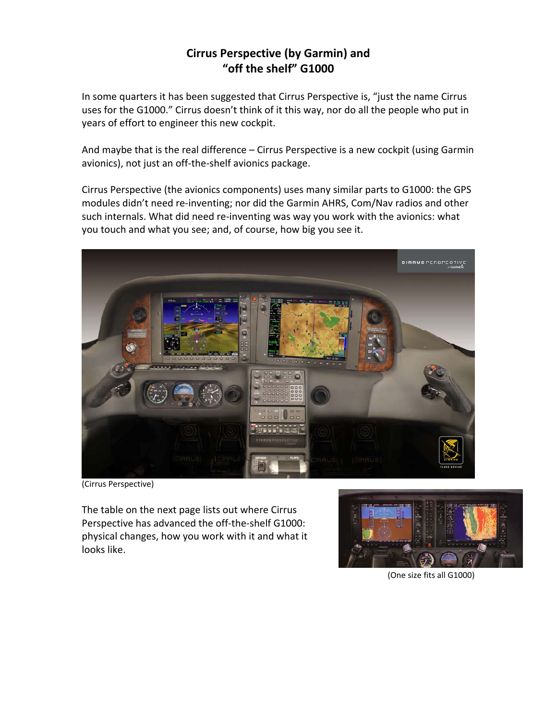## **Cirrus Perspective (by Garmin) and "off the shelf" G1000**

In some quarters it has been suggested that Cirrus Perspective is, "just the name Cirrus uses for the G1000." Cirrus doesn't think of it this way, nor do all the people who put in years of effort to engineer this new cockpit.

And maybe that is the real difference – Cirrus Perspective is a new cockpit (using Garmin avionics), not just an off‐the‐shelf avionics package.

Cirrus Perspective (the avionics components) uses many similar parts to G1000: the GPS modules didn't need re‐inventing; nor did the Garmin AHRS, Com/Nav radios and other such internals. What did need re-inventing was way you work with the avionics: what you touch and what you see; and, of course, how big you see it.



(Cirrus Perspective)

The table on the next page lists out where Cirrus Perspective has advanced the off‐the‐shelf G1000: physical changes, how you work with it and what it looks like.



(One size fits all G1000)